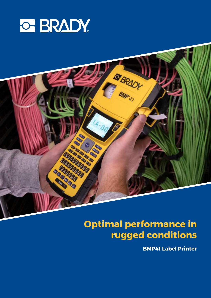

**CARACTER** 

**ARANGER CARDS ARAGARAS** 

**ARGADAD DRAGGAS** 

# **Optimal performance in rugged conditions**

**CE BRADY** 

**BMP41 Label Printer**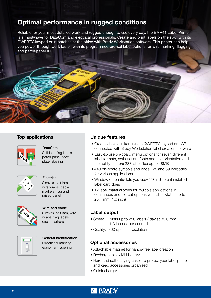## Optimal performance in rugged conditions

Reliable for your most detailed work and rugged enough to use every day, the BMP41 Label Printer is a must-have for DataCom and electrical professionals. Create and print labels on the spot with its QWERTY keypad or in batches at the office with Brady Workstation software. This printer can help you power through work faster, with its programmed pre-set label options for wire marking, flagging and patch panel ID.

### Top applications



### DataCom

Self-lam, flag labels, patch-panel, face plate labelling



**Electrical** Sleeves, self-lam, wire wraps, cable markers, flag and raised panel



**SHOP** 

#### Wire and cable Sleeves, self-lam, wire wraps, flag labels, cable markers

General identification Directional marking, equipment labelling

### Unique features

- Create labels quicker using a QWERTY keypad or USB connected with Brady Workstation label creation software
- Easy-to-use on-board menu options for seven different label formats, serialisation, fonts and text orientation and the ability to store 288 label files up to 48MB
- 440 on-board symbols and code 128 and 39 barcodes for various applications
- Window on printer lets you view 110+ different installed label cartridges
- 12 label material types for multiple applications in continuous and die-cut options with label widths up to 25.4 mm (1.0 inch)

### Label output

- Speed: Prints up to 250 labels / day at 33.0 mm (1.3 inches) per second
- Quality: 300 dpi print resolution

### Optional accessories

- Attachable magnet for hands-free label creation
- Rechargeable NiMH battery
- Hard and soft carrying cases to protect your label printer and keep accessories organised
- Quick charger

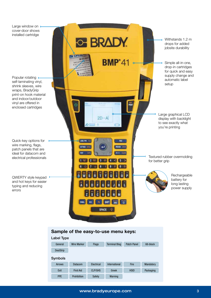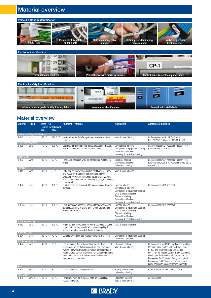## Material overview



#### Electrical identification 81380 13967 **POSO** W  $CP-1$ 40 Terminal block markers **PermaSleeve wire marking sleeves** Control panel & electrical panel labels



### Material overview

| <b>Material</b>        | Finish                                | Temp $(^{\circ}C)$<br>Min. | (Tested for 30 days)<br>Max. | <b>Additional Features</b>                                                                                                                                                                                                                                                                                                       | <b>Application</b>                                                                                                                                                                                | <b>Approval/Compliance</b>                                                                                                                                                                                                                                                                                                                                                       |
|------------------------|---------------------------------------|----------------------------|------------------------------|----------------------------------------------------------------------------------------------------------------------------------------------------------------------------------------------------------------------------------------------------------------------------------------------------------------------------------|---------------------------------------------------------------------------------------------------------------------------------------------------------------------------------------------------|----------------------------------------------------------------------------------------------------------------------------------------------------------------------------------------------------------------------------------------------------------------------------------------------------------------------------------------------------------------------------------|
|                        | Heat-shrink Polyolefin Sleeve         |                            |                              |                                                                                                                                                                                                                                                                                                                                  |                                                                                                                                                                                                   |                                                                                                                                                                                                                                                                                                                                                                                  |
| B-342                  | Matt                                  | $-55 °C$                   | 130.6 °C                     | Heat-shrinkable; Self-Extinguishing. Available in White<br>or Yellow.                                                                                                                                                                                                                                                            | Wire & cable labelling                                                                                                                                                                            | UL Recognised to UL224; SAE-AMS-<br>DTL-23053/5 C (Class 1); SAE-AS-81531                                                                                                                                                                                                                                                                                                        |
| $B-428$                | <b>Metallised Polyester</b><br>Matt   | $-70 °C$                   | 120 °C                       | Designed for rating or serial plates, product information,<br>warranty labels and inventory control labels.                                                                                                                                                                                                                      | Circuit board labelling<br>Component & equipment labelling<br>General identification<br>Inventory & inspection labelling                                                                          | UL Recognised; CSA Accepted; Halogen Free<br>(DIN VDE 0472/part 815)                                                                                                                                                                                                                                                                                                             |
| <b>Nylon Cloth</b>     |                                       |                            |                              |                                                                                                                                                                                                                                                                                                                                  |                                                                                                                                                                                                   |                                                                                                                                                                                                                                                                                                                                                                                  |
| B-499                  | Matt                                  | -40 °C                     | 90 °C                        | Permanent adhesion; write-on capabilities. Available in<br>White.                                                                                                                                                                                                                                                                | Electrical labelling<br>General identification<br>Laboratory labelling                                                                                                                            | UL Recognised; CSA Accepted; Halogen Free<br>(DIN VDE 0472/part 815) Approvals are for White<br>material only                                                                                                                                                                                                                                                                    |
| Polyester              |                                       |                            |                              |                                                                                                                                                                                                                                                                                                                                  |                                                                                                                                                                                                   |                                                                                                                                                                                                                                                                                                                                                                                  |
| $B-414$                | Matt                                  | $-40 °C$                   | 50 °C                        | Get a grip on your wire and cable identification - Brady<br>and VELCRO <sup>®</sup> Brand have partnered to bring you<br>BradyGrip™ Print-on Hook Material, an exclusive print-<br>and-place material that can be easily applied, repositioned<br>or removed.                                                                    | Wire & cable labelling                                                                                                                                                                            |                                                                                                                                                                                                                                                                                                                                                                                  |
| B-422                  | Gloss                                 | $-40 °C$                   | 100 °C                       | 2 mil adhesive recommended for application on textured<br>surfaces.                                                                                                                                                                                                                                                              | Barcode labelling<br>Circuit board labelling<br>Component & equipment labelling<br>Data & telecom labelling<br>Electrical labelling<br>General identification<br>Inventory & inspection labelling | UL Recognised; CSA Accepted                                                                                                                                                                                                                                                                                                                                                      |
| <b>B-483A</b>          | Gloss                                 | $-40 °C$                   | 120 °C                       | Ultra-aggressive adhesive; Designed for powder coated<br>surfaces. Available in Black, Blue, Green, Orange, Red,<br>White and Yellow.                                                                                                                                                                                            | Barcode labelling<br>Component & equipment labelling<br>Data & telecom labelling<br>Electrical labelling<br>General identification<br>Inventory & inspection labelling                            | UL Recognised; CSA Accepted                                                                                                                                                                                                                                                                                                                                                      |
| Polypropylene Tag      |                                       |                            |                              |                                                                                                                                                                                                                                                                                                                                  |                                                                                                                                                                                                   |                                                                                                                                                                                                                                                                                                                                                                                  |
| $B-412$                | Matt                                  | $-40 °C$                   | 100 °C                       | Highly durable labels, ideal for wire & cable identification<br>or product inventory identification, where legibility &<br>tensile strength are needed. Available in White.                                                                                                                                                      | Data & telecom labelling                                                                                                                                                                          |                                                                                                                                                                                                                                                                                                                                                                                  |
| <b>Reflective Tape</b> |                                       |                            |                              |                                                                                                                                                                                                                                                                                                                                  |                                                                                                                                                                                                   |                                                                                                                                                                                                                                                                                                                                                                                  |
| B-584                  | Gloss<br><b>Self-laminating Vinyl</b> | $-40 °C$                   | 70 °C                        | Suitable for outdoor use. Available in White and Yellow.                                                                                                                                                                                                                                                                         | Component & equipment labelling<br>General identification                                                                                                                                         |                                                                                                                                                                                                                                                                                                                                                                                  |
| B-427<br><b>Vinyl</b>  | Matt                                  | $-40 °C$                   | 60 °C                        | Self-laminating; Self-extinguishing; Excellent water & oil<br>resistance; Excellent abrasion and smudge resistance.<br>Available in White/Transparent, Yellow/Transparent and<br>Rotating Label version (includes a non-adhesive printable<br>zone and a translucent, self-adhesive laminate that is<br>wrapped around a cable). | Electrical labelling<br>Wire & cable labelling                                                                                                                                                    | UL Recognised to UL969 Labelling and Marking<br>Standard when printed with the Brady Series<br>R4300 and R6200 ribbons. See UL files<br>MH17154 for specific details. Brady customers<br>should specify at purchase if they require UL<br>Recognised B-427 labels. Brady sells both UL<br>Recognised B-427 labels and non-approved<br>labels depending on customer requirements. |
| B-595                  | Gloss                                 | $-40 °C$                   | 82 °C                        | Available in a wide range of colours.                                                                                                                                                                                                                                                                                            | Facility identification                                                                                                                                                                           | BS5609:1986 Section 2 and section 3                                                                                                                                                                                                                                                                                                                                              |
| <b>Vinyl Cloth</b>     |                                       |                            |                              |                                                                                                                                                                                                                                                                                                                                  | Laboratory labelling                                                                                                                                                                              |                                                                                                                                                                                                                                                                                                                                                                                  |
| <b>B-498</b>           | Semi-gloss                            | $-40 °C$                   | 80 °C                        | Removable from flat surfaces; write-on capabilities.<br>Available in White.                                                                                                                                                                                                                                                      | Laboratory labelling<br>Wire & cable labelling                                                                                                                                                    | <b>UL Recognised</b>                                                                                                                                                                                                                                                                                                                                                             |

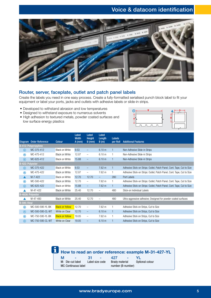

### Router, server, faceplate, outlet and patch panel labels

Create the labels you need in one easy process. Create a fully-formatted serialised punch block label to fit your equipment or label your ports, jacks and outlets with adhesive labels or slide-in strips.

- Developed to withstand abrasion and low temperatures
- Designed to withstand exposure to numerous solvents
- High adhesion to textured metals, powder coated surfaces and low surface energy plastics



|                         |                        | <b>Colour</b>          | Label<br><b>Width</b> | <b>Label</b><br><b>Height</b> | Label<br>Length          | Labels       | <b>Additional Features</b>                                             |
|-------------------------|------------------------|------------------------|-----------------------|-------------------------------|--------------------------|--------------|------------------------------------------------------------------------|
| Diagram                 | <b>Order Reference</b> |                        | $A$ (mm)              | $B$ (mm)                      | B(m)                     | per Roll     |                                                                        |
|                         | B-412: Polypropylene   |                        |                       |                               |                          |              |                                                                        |
| $\odot$                 | MC-375-412             | <b>Black on White</b>  | 9.53                  | -                             | 6.10 <sub>m</sub>        | $\mathbf{1}$ | Non-Adhesive Slide-in Strips                                           |
| $\circledcirc$          | MC-475-412             | <b>Black on White</b>  | 12.07                 | -                             | 6.10 <sub>m</sub>        |              | Non-Adhesive Slide-in Strips                                           |
| $\odot$                 | MC-625-412             | Black on White         | 15.88                 | $\overline{\phantom{0}}$      | 6.10 <sub>m</sub>        | 1            | Non-Adhesive Slide-in Strips                                           |
| <b>B-422: Polyester</b> |                        |                        |                       |                               |                          |              |                                                                        |
| $\odot$                 | MC-375-422             | <b>Black on White</b>  | 9.53                  | -                             | $7.62 \text{ m}$         |              | Adhesive Stick-on Strips: Outlet, Patch Panel, Cont. Tape, Cut to Size |
| $\odot$                 | MC-475-422             | <b>Black on White</b>  | 12.07                 | $\overline{\phantom{0}}$      | $7.62 \text{ m}$         |              | Adhesive Stick-on Strips: Outlet, Patch Panel, Cont. Tape, Cut to Size |
| ▲                       | $M - 7 - 422$          | <b>Black on White</b>  | 12.70                 | 12.70                         | $\overline{\phantom{m}}$ | 280          | Port Labels                                                            |
| $\circledcirc$          | MC-500-422             | <b>Black on White</b>  | 12.70                 | -                             | $7.62 \text{ m}$         |              | Adhesive Stick-on Strips: Outlet, Patch Panel, Cont. Tape, Cut to Size |
| $\odot$                 | MC-625-422             | <b>Black on White</b>  | 15.88                 | -                             | $7.62 \text{ m}$         |              | Adhesive Stick-on Strips: Outlet, Patch Panel, Cont. Tape, Cut to Size |
|                         | M-47-422               | <b>Black on White</b>  | 25.40                 | 12.70                         | $\overline{\phantom{m}}$ | 480          | Stick-on Individual Labels                                             |
| B-483A: Polyester       |                        |                        |                       |                               |                          |              |                                                                        |
|                         | M-47-483               | <b>Black on White</b>  | 25.40                 | 12.70                         | $\overline{\phantom{m}}$ | 480          | Ultra-aggressive adhesive; Designed for powder coated surfaces         |
| <b>B-595: Vinyl</b>     |                        |                        |                       |                               |                          |              |                                                                        |
| $\odot$                 | MC-500-595-YL-BK       | <b>Black on Yellow</b> | 12.70                 | -                             | $7.62 \text{ m}$         |              | Adhesive Stick on Strips, Cut to Size                                  |
| $\bullet$               | MC-500-595-CL-WT       | White on Clear         | 12.70                 | -                             | 6.10 <sub>m</sub>        | $\mathbf{1}$ | Adhesive Stick on Strips, Cut to Size                                  |
| $\boldsymbol{\odot}$    | MC-750-595-YL-BK       | <b>Black on Yellow</b> | 19.05                 | -                             | $7.62 \text{ m}$         |              | Adhesive Stick on Strips, Cut to Size                                  |
| $\odot$                 | MC-750-595-CL-WT       | White on Clear         | 19.05                 |                               | 6.10 <sub>m</sub>        |              | Adhesive Stick on Strips, Cut to Size                                  |

|   |                                                                   |       |                               |     |                                               | How to read an order reference: example M-31-427-YL |
|---|-------------------------------------------------------------------|-------|-------------------------------|-----|-----------------------------------------------|-----------------------------------------------------|
| М | <b>Service</b><br>M: Die-cut label<br><b>MC: Continuous label</b> | $-31$ | $\sim$ $-$<br>Label size code | 427 | <b>Contract Contract</b><br>number (B-number) | Brady material Optional colour                      |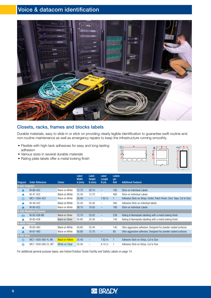

### Closets, racks, frames and blocks labels

Durable materials, easy to slide in or stick on providing clearly legible identification to guarantee swift routine and non-routine maintenance as well as emergency repairs to keep the infrastructure running smoothly.

- Flexible with high-tack adhesives for easy and long-lasting adhesion
- Various sizes in several durable materials
- Rating plate labels offer a metal looking finish



|                     |                                    |                        | Label<br><b>Width</b> | Label<br><b>Height</b> | Label<br>Length          | Labels<br>per |                                                                        |
|---------------------|------------------------------------|------------------------|-----------------------|------------------------|--------------------------|---------------|------------------------------------------------------------------------|
| <b>Diagram</b>      | <b>Order Reference</b>             | <b>Colour</b>          | $A$ (mm)              | $B$ (mm)               | B(m)                     | Roll          | <b>Additional Features</b>                                             |
| B-422: Polyester    |                                    |                        |                       |                        |                          |               |                                                                        |
|                     | M-89-422                           | <b>Black on White</b>  | 12.70                 | 38.10                  | $\qquad \qquad -$        | 180           | Stick-on Individual Labels                                             |
|                     | M-47-422                           | <b>Black on White</b>  | 25.40                 | 12.70                  | $\overline{\phantom{m}}$ | 480           | Stick-on Individual Labels                                             |
| $\odot$             | MC1-1000-422                       | <b>Black on White</b>  | 25.40                 | $\qquad \qquad -$      | $7.62 \text{ m}$         | 1             | Adhesive Stick-on Strips: Outlet, Patch Panel, Cont. Tape, Cut to Size |
| ▲                   | M-49-422                           | <b>Black on White</b>  | 25.40                 | 25.40                  | $\qquad \qquad -$        | 260           | Adhesive Stick-on individual labels                                    |
| ▲                   | M-90-422                           | <b>Black on White</b>  | 38.10                 | 19.05                  | $\overline{\phantom{m}}$ | 180           | Stick-on Individual Labels                                             |
|                     | <b>B-428: Metallised Polyester</b> |                        |                       |                        |                          |               |                                                                        |
| $\bullet$           | M-92-428-BB                        | <b>Black on Silver</b> | 12.70                 | 33.02                  | $\qquad \qquad -$        | 239           | Rating & Nameplate labelling with a metal looking finish               |
|                     | M-60-428                           | <b>Black on Silver</b> | 50.80                 | 25.40                  | $\overline{\phantom{m}}$ | 140           | Rating & Nameplate labelling with a metal looking finish               |
| B-483A: Polyester   |                                    |                        |                       |                        |                          |               |                                                                        |
|                     | M-60-483                           | <b>Black on White</b>  | 50.80                 | 25.40                  | $\overline{\phantom{m}}$ | 140           | Ultra-aggressive adhesive; Designed for powder coated surfaces         |
| ▲                   | M-61-483                           | <b>Black on White</b>  | 50.80                 | 12.70                  | $\overline{\phantom{m}}$ | 80            | Ultra-aggressive adhesive; Designed for powder coated surfaces         |
| <b>B-595: Vinyl</b> |                                    |                        |                       |                        |                          |               |                                                                        |
| $\odot$             | MC1-1000-595-YL-BK                 | <b>Black on Yellow</b> | 25.40                 |                        | $7.62 \text{ m}$         | 1             | Adhesive Stick on Strips, Cut to Size                                  |
| $\circledcirc$      | MC1-1000-595-CL-WT                 | White on Clear         | 25.40                 | -                      | 6.10 <sub>m</sub>        |               | Adhesive Stick on Strips, Cut to Size                                  |

For additional general purpose tapes, see Indoor/Outdoor Grade Facility and Safety Labels on page 14.

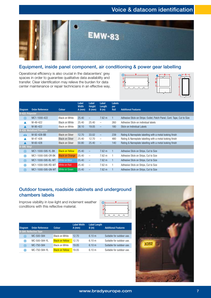

### Equipment, inside panel component, air conditioning & power gear labelling

Operational efficiency is also crucial in the datacenters' grey spaces in order to guarantee qualitative data availability and transfer. Clear identification may relieve the burden for data center maintenance or repair technicians in an effective way.



|                         |                                    |                        | Label<br><b>Width</b> | Label<br><b>Height</b> | Label<br>Length          | Labels<br>per |                                                                        |
|-------------------------|------------------------------------|------------------------|-----------------------|------------------------|--------------------------|---------------|------------------------------------------------------------------------|
| <b>Diagram</b>          | <b>Order Reference</b>             | <b>Colour</b>          | $A$ (mm)              | $B$ (mm)               | B(m)                     | Roll          | <b>Additional Features</b>                                             |
| <b>B-422: Polyester</b> |                                    |                        |                       |                        |                          |               |                                                                        |
| $\bullet$               | MC1-1000-422                       | <b>Black on White</b>  | 25.40                 | $\qquad \qquad -$      | $7.62 \text{ m}$         |               | Adhesive Stick-on Strips: Outlet, Patch Panel, Cont. Tape, Cut to Size |
| ▲                       | M-49-422                           | Black on White         | 25.40                 | 25.40                  | $\qquad \qquad$          | 260           | Adhesive Stick-on individual labels                                    |
| ▲                       | $M-90-422$                         | <b>Black on White</b>  | 38.10                 | 19.05                  | $\qquad \qquad -$        | 180           | Stick-on Individual Labels                                             |
|                         | <b>B-428: Metallised Polyester</b> |                        |                       |                        |                          |               |                                                                        |
| $\bullet$               | M-92-428-BB                        | <b>Black on Silver</b> | 12.70                 | 33.02                  | $\overline{\phantom{0}}$ | 239           | Rating & Nameplate labelling with a metal looking finish               |
|                         | M-47-428                           | <b>Black on Silver</b> | 25.40                 | 12.70                  | $\overline{\phantom{m}}$ | 480           | Rating & Nameplate labelling with a metal looking finish               |
| ▲                       | M-60-428                           | <b>Black on Silver</b> | 50.80                 | 25.40                  |                          | 140           | Rating & Nameplate labelling with a metal looking finish               |
| <b>B-595: Vinyl</b>     |                                    |                        |                       |                        |                          |               |                                                                        |
| $\odot$                 | MC1-1000-595-YL-BK                 | <b>Black on Yellow</b> | 25.40                 | $\qquad \qquad -$      | $7.62 \text{ m}$         |               | Adhesive Stick on Strips, Cut to Size                                  |
| $\circledcirc$          | MC1-1000-595-0R-BK                 | <b>Black on Orange</b> | 25.40                 | $\qquad \qquad -$      | $7.62 \text{ m}$         |               | Adhesive Stick on Strips, Cut to Size                                  |
| $\odot$                 | MC1-1000-595-BL-WT                 | White on Blue          | 25.40                 | $\qquad \qquad -$      | $7.62 \text{ m}$         |               | Adhesive Stick on Strips, Cut to Size                                  |
| $\odot$                 | MC1-1000-595-RD-WT                 | White on Red           | 25.40                 | $\qquad \qquad -$      | $7.62 \text{ m}$         |               | Adhesive Stick on Strips, Cut to Size                                  |
| $\bullet$               | MC1-1000-595-GN-WT                 | White on Green         | 25.40                 |                        | $7.62 \text{ m}$         |               | Adhesive Stick on Strips, Cut to Size                                  |

### Outdoor towers, roadside cabinets and underground chambers labels

Improve visibility in low-light and inclement weather conditions with this reflective material.



| <b>Diagram</b>    | <b>Order Reference</b> | Colour                 | <b>Label Width</b><br>$A$ (mm) | <b>Label Length</b><br>B(m) | <b>Additional Features</b> |
|-------------------|------------------------|------------------------|--------------------------------|-----------------------------|----------------------------|
|                   | B-584: Reflective Tape |                        |                                |                             |                            |
| ◉                 | MC-500-584             | Black on White         | 12.70                          | 6.10 m                      | Suitable for outdoor use.  |
| ◉                 | MC-500-584-YL          | <b>Black on Yellow</b> | 12.70                          | 6.10 m                      | Suitable for outdoor use.  |
| $\mathbf{\Theta}$ | MC-750-584             | Black on White         | 19.05                          | 6.10 m                      | Suitable for outdoor use.  |
| ◉                 | MC-750-584-YL          | <b>Black on Yellow</b> | 19.05                          | 6.10 m                      | Suitable for outdoor use.  |

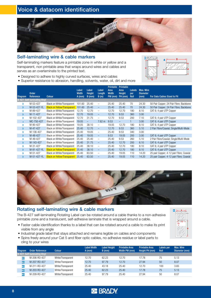

### Self-laminating wire & cable markers

Self-laminating markers feature a printable zone in white or yellow and a transparent, non printable area that wraps around wires and cables and serves as an overlaminate to the printed text.

- Designed to adhere to highly curved surfaces, wires and cables
- Superior resistance to abrasion, handling, solvents, water, oil, dirt and more



| <b>Diagram</b> | <b>Order</b><br>Reference    | <b>Colour</b>                      | Label<br><b>Width</b><br>$A$ (mm) | Label<br><b>Height</b><br>$B$ (mm) | Label<br>Length<br>B(m)  | Printable<br>Area<br><b>Width</b><br>PW (mm) | Printable<br>Area<br><b>Height</b><br>PH (mm) | Labels<br>per<br>Roll | <b>Max. Wire</b><br><b>Diameter</b><br>(mm) | <b>For Data Cables Sized to Fit</b>      |
|----------------|------------------------------|------------------------------------|-----------------------------------|------------------------------------|--------------------------|----------------------------------------------|-----------------------------------------------|-----------------------|---------------------------------------------|------------------------------------------|
|                | B-427: Self-laminating Vinyl |                                    |                                   |                                    |                          |                                              |                                               |                       |                                             |                                          |
| Þ              | M-53-427                     | Black on White/Transparent         | 101.60                            | 25.40                              | $\overline{\phantom{0}}$ | 25.40                                        | 25.40                                         | 70                    | 24.30                                       | 50 Pair Copper; 24 Pair Fibre; Backbone  |
| Þ              | M-53-427-YL                  | <b>Black on Yellow/Transparent</b> | 101.60                            | 25.40                              | $\qquad \qquad -$        | 25.40                                        | 25.40                                         | 70                    | 24.30                                       | 50 Pair Copper; 24 Pair Fibre; Backbone  |
| Þ              | M-89-427                     | Black on White/Transparent         | 12.70                             | 12.70                              | $\qquad \qquad -$        | 12.70                                        | 12.70                                         | 180                   | 8.10                                        | CAT 6: 4 pair UTP Copper                 |
| Þ.             | M-11-427                     | Black on White/Transparent         | 12.70                             | 19.05                              | $\qquad \qquad -$        | 12.70                                        | 9.53                                          | 360                   | 3.00                                        |                                          |
| Þ              | M-102-427                    | Black on White/Transparent         | 12.70                             | 31.75                              | $\overline{\phantom{0}}$ | 12.70                                        | 9.53                                          | 200                   | 7.10                                        | CAT 6: 4 pair UTP Copper                 |
| ٠              | MC-750-427                   | Black on White/Transparent         | 19.05                             | $\overline{\phantom{0}}$           | $7.62 \text{ m}$         | 9.53                                         | $\overline{\phantom{0}}$                      |                       | 3.00                                        | CAT 6: 4 pair UTP Copper                 |
| Þ              | M-90-427                     | Black on White/Transparent         | 19.05                             | 38.10                              | $\overline{\phantom{0}}$ | 19.05                                        | 12.70                                         | 180                   | 8.10                                        | CAT 6: 4 pair UTP Copper                 |
| Þ.             | M-47-427                     | Black on White/Transparent         | 25.40                             | 12.70                              | $\qquad \qquad -$        | 12.70                                        | 9.53                                          | 360                   | 5.10                                        | 2 Pair Fibre/Coaxial, Single/Multi-Mode  |
| Þ              | M-136-427                    | Black on White/Transparent         | 25.40                             | 19.05                              | $\overline{\phantom{0}}$ | 25.40                                        | 9.53                                          | 340                   | 3.00                                        |                                          |
| Þ.             | M-48-427                     | Black on White/Transparent         | 25.40                             | 19.05                              | $\qquad \qquad -$        | 9.53                                         | 19.05                                         | 200                   | 3.00                                        | CAT 6: 4 pair UTP Copper                 |
| Þ              | M-49-427                     | Black on White/Transparent         | 25.40                             | 25.40                              | $\overline{\phantom{m}}$ | 25.40                                        | 9.53                                          | 260                   | 5.10                                        | 2 Pair Fibre/Coaxial; Single/Multi-Mode  |
| b.             | M-143-427                    | Black on White/Transparent         | 25.40                             | 31.75                              | $\qquad \qquad -$        | 25.40                                        | 12.70                                         | 200                   | 6.10                                        | CAT 6: 4 pair UTP Copper                 |
| Þ              | M-31-427                     | Black on White/Transparent         | 25.40                             | 38.10                              | $\overline{\phantom{0}}$ | 25.40                                        | 12.70                                         | 180                   | 8.10                                        | CAT 6: 4 pair UTP Copper                 |
| Þ              | M-91-427-YL                  | <b>Black on Yellow/Transparent</b> | 25.40                             | 38.10                              | $\qquad \qquad -$        | 25.40                                        | 12.70                                         | 180                   | 8.10                                        | CAT 6: 4 pair UTP Copper                 |
| Þ              | M-51-427                     | Black on White/Transparent         | 25.40                             | 63.50                              | $\overline{\phantom{m}}$ | 25.40                                        | 19.05                                         | 110                   | 14.20                                       | 25 pair Copper; 4-12 pair Fibre; Coaxial |
| Þ              | M-51-427-YL                  | <b>Black on Yellow/Transparent</b> | 25.40                             | 63.50                              | $\qquad \qquad -$        | 25.40                                        | 19.05                                         | 110                   | 14.20                                       | 25 pair Copper; 4-12 pair Fibre; Coaxial |



### Rotating self-laminating wire & cable markers

The B-427 self-laminating Rotating Label can be rotated around a cable thanks to a non-adhesive printable zone and a translucent, self-adhesive laminate that is wrapped around a cable.

- Faster cable identification thanks to a label that can be rotated around a cable to make its print visible from any angle
- Industrial grade label that stays attached and remains legible on cables and components
- Spins freely around your Cat 5 and fiber optic cables, no adhesive residue or label parts to cling to your wires

| <b>Diagram</b>          | <b>Order Reference</b>       | <b>Colour</b>     | <b>Label Width</b><br>$A$ (mm) | Label Height<br>$B$ (mm) | <b>Printable Area</b><br>Width PW (mm) | <b>Printable Area</b><br>Height PH (mm) | Labels per<br><b>Roll</b> | Max. Wire<br>Diameter (mm) |
|-------------------------|------------------------------|-------------------|--------------------------------|--------------------------|----------------------------------------|-----------------------------------------|---------------------------|----------------------------|
|                         | B-427: Self-laminating Vinyl |                   |                                |                          |                                        |                                         |                           |                            |
| RO                      | M-206-R0-427                 | White/Transparent | 12.70                          | 62.23                    | 12.70                                  | 17.78                                   | 75                        | 5.13                       |
| $\overline{\mathsf{R}}$ | M-207-R0-427                 | White/Transparent | 12.70                          | 97.79                    | 12.70                                  | 27.94                                   | 50                        | 8.07                       |
| RO                      | M-211-R0-427                 | White/Transparent | 25.40                          | 43.18                    | 25.40                                  | 12.70                                   | 100                       | 3.65                       |
| RO                      | M-203-R0-427                 | White/Transparent | 25.40                          | 62.23                    | 25.40                                  | 17.78                                   | 75                        | 5.13                       |
| RO <sub>1</sub>         | M-209-R0-427                 | White/Transparent | 25.40                          | 97.79                    | 25.40                                  | 27.94                                   | 50                        | 8.07                       |



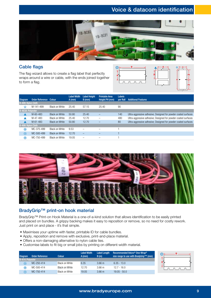

### Cable flags

The flag wizard allows to create a flag label that perfectly wraps around a wire or cable, with the ends joined together to form a flag.



| <b>Diagram</b>     | <b>Order Reference Colour</b> |                       | <b>Label Width</b><br>$A$ (mm) | <b>Label Height</b><br>$B$ (mm) | <b>Printable Area</b><br>Height PH (mm) | <b>Labels</b><br>per Roll | <b>Additional Features</b>                                     |
|--------------------|-------------------------------|-----------------------|--------------------------------|---------------------------------|-----------------------------------------|---------------------------|----------------------------------------------------------------|
| B-499: Nylon Cloth |                               |                       |                                |                                 |                                         |                           |                                                                |
| ₩                  | M-141-499                     | Black on White        | 25.40                          | 57.15                           | 25.40                                   | 90                        |                                                                |
| B-483A: Polyester  |                               |                       |                                |                                 |                                         |                           |                                                                |
|                    | $M - 60 - 483$                | <b>Black on White</b> | 50.80                          | 25.40                           | -                                       | 140                       | Ultra-aggressive adhesive; Designed for powder coated surfaces |
|                    | M-47-483                      | <b>Black on White</b> | 25.40                          | 12.70                           | -                                       | 480                       | Ultra-aggressive adhesive; Designed for powder coated surfaces |
|                    | $M - 61 - 483$                | <b>Black on White</b> | 50.80                          | 12.70                           | $\qquad \qquad -$                       | 80                        | Ultra-aggressive adhesive; Designed for powder coated surfaces |
| B-499: Nylon Cloth |                               |                       |                                |                                 |                                         |                           |                                                                |
| $\circ$            | MC-375-499                    | Black on White        | 9.53                           |                                 | -                                       |                           |                                                                |
| $\odot$            | MC-500-499                    | <b>Black on White</b> | 12.70                          | $\overline{\phantom{0}}$        | -                                       |                           |                                                                |
| $\odot$            | MC-750-499                    | Black on White        | 19.05                          |                                 | -                                       |                           |                                                                |



### BradyGrip™ print-on hook material

BradyGrip™ Print-on Hook Material is a one-of-a-kind solution that allows identification to be easily printed and placed on bundles. A grippy backing makes it easy to reposition or remove, so no need for costly rework. Just print on and place - it's that simple.

- Maximises your uptime with faster, printable ID for cable bundles.
- Apply, reposition and remove with exclusive, print-and-place material.
- Offers a non-damaging alternative to nylon cable ties.
- Customise labels to fit big or small jobs by printing on different-width material.

| <b>Diagram</b>          | Order Reference | Colour                | <b>Label Width</b><br>$A$ (mm) | <b>Label Length</b><br>B(m) | Recommended Velcro <sup>®</sup> One-Wrap <sup>®</sup><br>size range to use with BradyGrip™ (mm) | $\frac{1}{\sqrt{2}}$ |
|-------------------------|-----------------|-----------------------|--------------------------------|-----------------------------|-------------------------------------------------------------------------------------------------|----------------------|
| <b>B-414: Polvester</b> |                 |                       |                                |                             |                                                                                                 |                      |
| $\odot$                 | MC-250-414      | Black on White        | 6.35                           | $3.66 \text{ m}$            | $6.35 - 13.0$                                                                                   |                      |
| ⊙                       | MC-500-414      | Black on White        | 12.70                          | 3.66 <sub>m</sub>           | $12.7 - 16.0$                                                                                   |                      |
| $\odot$                 | MC-750-414      | <b>Black on White</b> | 19.05                          | $3.66 \text{ m}$            | $19.05 - 50.0$                                                                                  |                      |

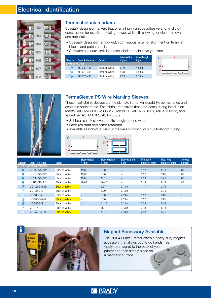### Electrical identification



### Terminal block markers

Specially designed markers that offer a highly unique adhesive and vinyl cloth construction for excellent holding power, while still allowing for clean removal and application.

- Specially designed narrow-width continuous label for alignment on terminal blocks and patch panels
- Software can auto-serialise these labels to help save you time

| <b>Diagram</b><br>B-498: Vinyl Cloth | <b>Order Reference</b> | <b>Colour</b>         | <b>Label Width</b><br>$A$ (mm) | <b>Label Length</b><br>B(m) |
|--------------------------------------|------------------------|-----------------------|--------------------------------|-----------------------------|
| ◉                                    | MC-240-498             | <b>Black on White</b> | 6.10                           | $4.88 \text{ m}$            |
| ◉                                    | MC-318-498             | <b>Black on White</b> | 8.08                           | 4.88 m                      |
| ◉                                    | MC-375-498             | Black on White        | 9.53                           | 6.10 m                      |



### PermaSleeve PS Wire Marking Sleeves

These heat-shrink sleeves are the ultimate in marker durability, permanence and aesthetic appearance. Fast shrink rate saves time and costs during installation. Meets SAE-AMS-DTL-23053/5C (class 1), SAE-AS-81531, MIL-STD-202, and tested per ASTM E162, ASTM E662.

 $\bigcap$ 

- 3:1 heat-shrink sleeve that fits snugly around wires
- Fade-resistant and flame-retardant
- Available as individual die-cut markers or continuous cut-to-length tubing



| <b>Diagram</b> | <b>Order Reference</b>               | <b>Colour</b>          | <b>Sleeve Width</b><br>$A$ (mm) | <b>Sleeve Height</b><br>$B$ (mm) | <b>Sleeve Length</b><br>B(m) | Min. Wire<br>Diameter (mm) | <b>Max. Wire</b><br>Diameter (mm) | <b>Sleeves</b><br>per Roll |
|----------------|--------------------------------------|------------------------|---------------------------------|----------------------------------|------------------------------|----------------------------|-----------------------------------|----------------------------|
|                | <b>B-342: Heat-shrink Polyolefin</b> |                        |                                 |                                  |                              |                            |                                   |                            |
| V              | M-125-075-342                        | <b>Black on White</b>  | 19.05                           | 6.00                             |                              | 1.17                       | 2.79                              | 80                         |
| v              | M-187-075-342                        | <b>Black on White</b>  | 19.05                           | 8.50                             |                              | 1.57                       | 3.81                              | 80                         |
| V              | M-250-075-342                        | <b>Black on White</b>  | 19.05                           | 11.15                            |                              | 2.39                       | 5.46                              | 80                         |
| v              | M-375-075-342                        | <b>Black on White</b>  | 19.05                           | 16.40                            |                              | 3.18                       | 8.13                              | 80                         |
| $\bullet$      | MC-125-342-YL                        | <b>Black on Yellow</b> |                                 | 5.97                             | 2.13 m                       | 1.17                       | 2.79                              |                            |
| $\odot$        | MC-125-342                           | <b>Black on White</b>  |                                 | 6.00                             | 2.13 m                       | 1.17                       | 2.79                              |                            |
| $\odot$        | MC-187-342                           | Black on White         |                                 | 8.50                             | 2.13 m                       | 1.57                       | 3.81                              |                            |
| $\circledcirc$ | MC-187-342-YL                        | <b>Black on Yellow</b> |                                 | 8.50                             | 2.13 m                       | 1.57                       | 3.81                              |                            |
| $\odot$        | MC-250-342                           | <b>Black on White</b>  |                                 | 11.15                            | 2.13 m                       | 2.39                       | 5.46                              |                            |
| $\odot$        | MC-375-342                           | <b>Black on White</b>  |                                 | 16.40                            | 2.13 m                       | 3.18                       | 8.13                              |                            |
| $\odot$        | MC-250-342-YL                        | <b>Black on Yellow</b> |                                 | 11.15                            | 2.13 m                       | 2.39                       | 5.46                              |                            |



#### Magnet Accessory Available

The BMP41 Label Printer offers a heavy-duty magnet accessory that allows you to go hands free. Apply the magnet to the back of your printer and then simply place on a magnetic surface.

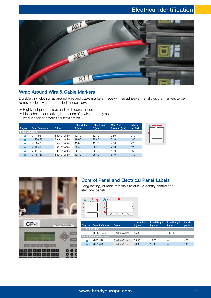

#### Wrap Around Wire & Cable Markers

Durable vinyl cloth wrap around wire and cable markers made with an adhesive that allows the markers to be removed cleanly and re-applied if necessary.

- Highly unique adhesive and cloth construction
- Ideal choice for marking both ends of a wire that may need be cut shorter before final termination

| <b>Diagram</b>     | <b>Order Reference</b> | <b>Colour</b>         | <b>Label Width</b><br>$A$ (mm) | <b>Label Height</b><br>$B$ (mm) | <b>Max. Wire</b><br>Diameter (mm) | <b>Labels</b><br>per Roll |   |
|--------------------|------------------------|-----------------------|--------------------------------|---------------------------------|-----------------------------------|---------------------------|---|
| B-498: Vinyl Cloth |                        |                       |                                |                                 |                                   |                           | B |
|                    | M-7-498                | Black on White        | 12.70                          | 12.70                           | 2.80                              | 240                       |   |
|                    | M-48-498               | Black on White        | 19.05                          | 25.40                           | 5.10                              | 180                       |   |
|                    | M-11-498               | Black on White        | 19.05                          | 12.70                           | 4.00                              | 220                       |   |
|                    | M-91-498               | Black on White        | 25.40                          | 38.10                           | 7.10                              | 120                       |   |
|                    | M-49-498               | <b>Black on White</b> | 25.40                          | 25.40                           | 5.10                              | 160                       |   |
|                    | M-131-498              | Black on White        | 12.70                          | 25.40                           | 5.10                              | 180                       |   |



### Control Panel and Electrical Panel Labels

Long-lasting, durable materials to quickly identify control and electrical panels.



| <b>Diagram</b>          | <b>Order Reference</b>             | <b>Colour</b>          | <b>Label Width</b><br>$A$ (mm) | <b>Label Height</b><br>$B$ (mm) | <b>Label Length</b><br>B(m) | <b>Labels</b><br>per Roll |
|-------------------------|------------------------------------|------------------------|--------------------------------|---------------------------------|-----------------------------|---------------------------|
| <b>B-422: Polyester</b> |                                    |                        |                                |                                 |                             |                           |
| ◉                       | MC-625-422                         | Black on White         | 15.88                          | -                               | 7.62 m                      |                           |
|                         | <b>B-428: Metallised Polyester</b> |                        |                                |                                 |                             |                           |
|                         | M-47-428                           | <b>Black on Silver</b> | 25.40                          | 12.70                           | -                           | 480                       |
|                         | M-60-428                           | <b>Black on Silver</b> | 50.80                          | 25.40                           | -                           | 140                       |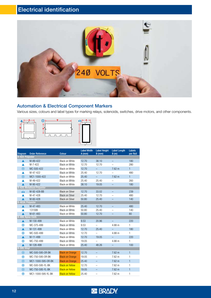

### Automation & Electrical Component Markers

Various sizes, colours and label types for marking relays, solenoids, switches, drive motors, and other components.



| <b>Diagram</b>           | <b>Order Reference</b>             | <b>Colour</b>          | <b>Label Width</b><br>$A$ (mm) | <b>Label Height</b><br>$B$ (mm) | <b>Label Length</b><br>B(m) | <b>Labels</b><br>per Roll |
|--------------------------|------------------------------------|------------------------|--------------------------------|---------------------------------|-----------------------------|---------------------------|
| <b>B-422: Polyester</b>  |                                    |                        |                                |                                 |                             |                           |
| ▲                        | M-89-422                           | <b>Black on White</b>  | 12.70                          | 38.10                           | -                           | 180                       |
| ▲                        | M-7-422                            | <b>Black on White</b>  | 12.70                          | 12.70                           |                             | 280                       |
| $\bullet$                | MC-500-422                         | <b>Black on White</b>  | 12.70                          |                                 | 7.62 <sub>m</sub>           | $\mathbf{1}$              |
| ▲                        | M-47-422                           | <b>Black on White</b>  | 25.40                          | 12.70                           | $\overline{\phantom{0}}$    | 480                       |
| $\bullet$                | MC1-1000-422                       | <b>Black on White</b>  | 25.40                          | $\overline{\phantom{0}}$        | 7.62 m                      | $\mathbf{1}$              |
|                          | M-49-422                           | <b>Black on White</b>  | 25.40                          | 25.40                           | -                           | 260                       |
|                          | M-90-422                           | <b>Black on White</b>  | 38.10                          | 19.05                           | -                           | 180                       |
|                          | <b>B-428: Metallised Polyester</b> |                        |                                |                                 |                             |                           |
| $\bullet$                | M-92-428-BB                        | <b>Black on Silver</b> | 12.70                          | 33.02                           | -                           | 239                       |
| ▲                        | M-47-428                           | <b>Black on Silver</b> | 25.40                          | 12.70                           | -                           | 480                       |
| ▲                        | M-60-428                           | <b>Black on Silver</b> | 50.80                          | 25.40                           |                             | 140                       |
| <b>B-483A: Polyester</b> |                                    |                        |                                |                                 |                             |                           |
| ▲                        | M-47-483                           | <b>Black on White</b>  | 25.40                          | 12.70                           | $\overline{a}$              | 480                       |
|                          | 131599                             | <b>Black on White</b>  | 50.80                          | 25.40                           | -                           | 140                       |
| B-499: Nylon Cloth       | M-61-483                           | <b>Black on White</b>  | 50.80                          | 12.70                           | $\overline{\phantom{0}}$    | 80                        |
| ▲                        | M-130-499                          | <b>Black on White</b>  | 9.53                           | 20.96                           | $\qquad \qquad -$           | 220                       |
| $\boldsymbol{\circ}$     | MC-375-499                         | <b>Black on White</b>  | 9.53                           |                                 | 4.88 m                      | $\mathbf{1}$              |
| ▲                        | M-131-499                          | <b>Black on White</b>  | 12.70                          | 25.40                           |                             | 180                       |
|                          |                                    |                        |                                |                                 | $\overline{\phantom{0}}$    |                           |
| $\circledcirc$<br>▲      | MC-500-499                         | <b>Black on White</b>  | 12.70                          |                                 | 4.88 m                      | 1<br>220                  |
|                          | M-11-499                           | <b>Black on White</b>  | 12.70                          | 19.05                           | $\equiv$                    |                           |
| $\boldsymbol{\circ}$     | MC-750-499                         | Black on White         | 19.05                          | -                               | 4.88 m                      | 1                         |
| ▲<br><b>B-595: Vinyl</b> | M-128-499                          | <b>Black on White</b>  | 25.40                          | 48.26                           | -                           | 100                       |
|                          | MC-500-595-0R-BK                   |                        | 12.70                          |                                 | 7.62 m                      | $\mathbf{1}$              |
| $\bullet$                |                                    | <b>Black on Orange</b> |                                | $\qquad \qquad -$               |                             |                           |
| $\boldsymbol{\circ}$     | MC-750-595-OR-BK                   | <b>Black on Orange</b> | 19.05                          |                                 | $7.62 \text{ m}$            | 1                         |
| $\bullet$                | MC1-1000-595-0R-BK                 | <b>Black on Orange</b> | 25.40                          |                                 | 7.62 m                      | $\mathbf{1}$              |
| $\boldsymbol{\circ}$     | MC-500-595-YL-BK                   | <b>Black on Yellow</b> | 12.70                          | -                               | $7.62 \text{ m}$            | 1                         |
| $\bullet$                | MC-750-595-YL-BK                   | <b>Black on Yellow</b> | 19.05                          |                                 | 7.62 m                      | $\mathbf{1}$              |
| $\boldsymbol{\circ}$     | MC1-1000-595-YL-BK                 | <b>Black on Yellow</b> | 25.40                          |                                 | $7.62 \text{ m}$            | 1                         |
|                          |                                    |                        |                                |                                 |                             |                           |

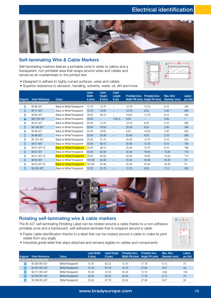### Electrical identification



#### Self-laminating Wire & Cable Markers

Self-laminating markers feature a printable zone in white or yellow and a transparent, non printable area that wraps around wires and cables and serves as an overlaminate to the printed text.

- Designed to adhere to highly curved surfaces, wires and cables
- Superior resistance to abrasion, handling, solvents, water, oil, dirt and more



| <b>Diagram</b> | <b>Order Reference</b>       | <b>Colour</b>                      | Label<br><b>Width</b><br>$A$ (mm) | Label<br><b>Height</b><br>$B$ (mm) | Label<br>Length<br>B(m)  | <b>Printable Area</b> | <b>Printable Area</b><br>Width PW (mm) Height PH (mm) | Max. Wire<br>Diameter (mm) | Labels<br>per Roll |
|----------------|------------------------------|------------------------------------|-----------------------------------|------------------------------------|--------------------------|-----------------------|-------------------------------------------------------|----------------------------|--------------------|
|                | B-427: Self-laminating Vinyl |                                    |                                   |                                    |                          |                       |                                                       |                            |                    |
| Þ              | M-89-427                     | Black on White/Transparent         | 12.70                             | 12.70                              | $\overline{\phantom{0}}$ | 12.70                 | 12.70                                                 | 8.10                       | 180                |
| Þ              | M-11-427                     | Black on White/Transparent         | 12.70                             | 19.05                              | $\qquad \qquad -$        | 12.70                 | 9.53                                                  | 3.00                       | 360                |
| Þ              | M-90-427                     | Black on White/Transparent         | 19.05                             | 38.10                              | $\overline{\phantom{0}}$ | 19.05                 | 12.70                                                 | 8.10                       | 180                |
|                | MC-750-427                   | Black on White/Transparent         | 19.05                             | -                                  | $7.62 \text{ m}$         | 9.53                  |                                                       | 3.00                       |                    |
| Þ              | M-47-427                     | Black on White/Transparent         | 25.40                             | 12.70                              | $\overline{\phantom{0}}$ | 12.70                 | 9.53                                                  | 5.10                       | 360                |
| D              | M-136-427                    | Black on White/Transparent         | 25.40                             | 19.05                              | $\qquad \qquad -$        | 25.40                 | 9.53                                                  | 3.00                       | 340                |
| Þ              | M-48-427                     | Black on White/Transparent         | 25.40                             | 19.05                              | $\overline{\phantom{0}}$ | 9.53                  | 19.05                                                 | 3.00                       | 200                |
| Þ              | M-49-427                     | Black on White/Transparent         | 25.40                             | 25.40                              | $\qquad \qquad -$        | 25.40                 | 9.53                                                  | 5.10                       | 260                |
| Þ              | M-143-427                    | Black on White/Transparent         | 25.40                             | 31.75                              | $\overline{\phantom{0}}$ | 25.40                 | 12.70                                                 | 6.10                       | 200                |
| Þ              | M-31-427                     | Black on White/Transparent         | 25.40                             | 38.10                              | $\qquad \qquad -$        | 25.40                 | 12.70                                                 | 8.10                       | 180                |
| Þ              | M-91-427-YL                  | <b>Black on Yellow/Transparent</b> | 25.40                             | 38.10                              | $\overline{\phantom{m}}$ | 25.40                 | 12.70                                                 | 8.10                       | 180                |
| Þ              | M-51-427                     | Black on White/Transparent         | 25.40                             | 63.50                              | $\qquad \qquad -$        | 25.40                 | 19.05                                                 | 14.20                      | 110                |
| Þ              | M-51-427-YL                  | <b>Black on Yellow/Transparent</b> | 25.40                             | 63.50                              | $\overline{\phantom{m}}$ | 25.40                 | 19.05                                                 | 14.20                      | 110                |
| D              | M-53-427                     | Black on White/Transparent         | 101.60                            | 25.40                              | $\qquad \qquad -$        | 25.40                 | 25.40                                                 | 24.30                      | 70                 |
| b              | M-53-427-YL                  | <b>Black on Yellow/Transparent</b> | 101.60                            | 25.40                              | $\overline{\phantom{m}}$ | 25.40                 | 25.40                                                 | 24.30                      | 70                 |
| D              | M-102-427                    | Black on White/Transparent         | 12.70                             | 31.75                              | -                        | 12.70                 | 9.53                                                  | 7.10                       | 200                |



#### Rotating self-laminating wire & cable markers

The B-427 self-laminating Rotating Label can be rotated around a cable thanks to a non-adhesive printable zone and a translucent, self-adhesive laminate that is wrapped around a cable.

- Faster cable identification thanks to a label that can be rotated around a cable to make its print visible from any angle
- Industrial grade label that stays attached and remains legible on cables and components

| Diagram                 | <b>Order Reference</b>       | <b>Colour</b>     | <b>Label Width</b><br>$A$ (mm) | <b>Label Height</b><br>$B$ (mm) | <b>Printable Area</b><br>Width PW (mm) | Printable Area<br>Height PH (mm) | Max. Wire<br>Diameter (mm) | <b>Labels</b><br>per Roll |
|-------------------------|------------------------------|-------------------|--------------------------------|---------------------------------|----------------------------------------|----------------------------------|----------------------------|---------------------------|
|                         | B-427: Self-laminating Vinyl |                   |                                |                                 |                                        |                                  |                            |                           |
| RO                      | M-206-R0-427                 | White/Transparent | 12.70                          | 62.23                           | 12.70                                  | 17.78                            | 5.13                       | 75                        |
| R                       | M-207-R0-427                 | White/Transparent | 12.70                          | 97.79                           | 12.70                                  | 27.94                            | 8.07                       | 50                        |
| RO                      | M-211-R0-427                 | White/Transparent | 25.40                          | 43.18                           | 25.40                                  | 12.70                            | 3.65                       | 100                       |
| $\overline{\mathsf{R}}$ | M-203-R0-427                 | White/Transparent | 25.40                          | 62.23                           | 25.40                                  | 17.78                            | 5.13                       | 75                        |
| RO                      | M-209-R0-427                 | White/Transparent | 25.40                          | 97.79                           | 25.40                                  | 27.94                            | 8.07                       | 50                        |
|                         |                              |                   |                                |                                 |                                        |                                  |                            |                           |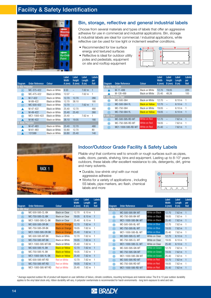### Facility & Safety Identification



### Bin, storage, reflective and general industrial labels

Choose from several materials and types of labels that offer an aggressive adhesive for use in commercial and industrial applications. Bin, storage & industrial labels are ideal for commercial / industrial applications, while reflective can be used for low light or inclement weather conditions.

- Recommended for low surface energy and textured surfaces
- Reflective is ideal for outdoor utility poles and pedestals, equipment on site and rooftop equipment



| <b>Diagram</b>           | <b>Order Reference</b> | <b>Colour</b>         | Label<br><b>Width</b><br>$A$ (mm) | Label<br><b>Height</b><br>$B$ (mm) | Label<br>Length<br>B(m) | <b>Labels</b><br>per<br><b>Roll</b> |
|--------------------------|------------------------|-----------------------|-----------------------------------|------------------------------------|-------------------------|-------------------------------------|
| B-422: Polyester         |                        |                       |                                   |                                    |                         |                                     |
| $\boldsymbol{\circ}$     | MC-375-422             | <b>Black on White</b> | 9.53                              |                                    | $7.62 \text{ m}$        | 1                                   |
| ◉                        | MC-475-422             | <b>Black on White</b> | 12.07                             |                                    | $7.62 \text{ m}$        | 1                                   |
|                          | $M - 7 - 422$          | <b>Black on White</b> | 12.70                             | 12.70                              |                         | 280                                 |
|                          | M-89-422               | <b>Black on White</b> | 12.70                             | 38.10                              |                         | 180                                 |
| $\circledcirc$           | MC-500-422             | <b>Black on White</b> | 12.70                             |                                    | $7.62 \text{ m}$        | 1                                   |
|                          | M-47-422               | <b>Black on White</b> | 25.40                             | 12.70                              |                         | 480                                 |
|                          | M-49-422               | Black on White        | 25.40                             | 25.40                              |                         | 260                                 |
| ◉                        | MC1-1000-422           | Black on White        | 25.40                             |                                    | $7.62 \text{ m}$        | 1                                   |
|                          | M-90-422               | <b>Black on White</b> | 38.10                             | 19.05                              |                         | 180                                 |
| <b>B-483A: Polyester</b> |                        |                       |                                   |                                    |                         |                                     |
|                          | M-47-483               | <b>Black on White</b> | 25.40                             | 12.70                              |                         | 480                                 |
|                          | M-61-483               | <b>Black on White</b> | 50.80                             | 12.70                              |                         | 80                                  |
|                          | 131599                 | <b>Black on White</b> | 50.80                             | 25.40                              |                         | 140                                 |

| <b>Diagram</b>      | <b>Order Reference</b>        | <b>Colour</b>          | Label<br><b>Width</b><br>$A$ (mm) | Label<br><b>Height</b><br>$B$ (mm) | Label<br>Length<br>B(m) | <b>Labels</b><br>per<br><b>Roll</b> |
|---------------------|-------------------------------|------------------------|-----------------------------------|------------------------------------|-------------------------|-------------------------------------|
| B-499: Nylon Cloth  |                               |                        |                                   |                                    |                         |                                     |
|                     | M-11-499                      | <b>Black on White</b>  | 12.70                             | 19.05                              |                         | 220                                 |
|                     | M-128-499                     | <b>Black on White</b>  | 25.40                             | 48.26                              |                         | 100                                 |
|                     | <b>B-584: Reflective Tape</b> |                        |                                   |                                    |                         |                                     |
| ⊙                   | MC-500-584                    | <b>Black on White</b>  | 12.70                             |                                    | 6.10 m                  | 1                                   |
| $\bullet$           | MC-500-584-YL                 | <b>Black on Yellow</b> | 12.70                             | $\equiv$                           | 6.10 m                  | 1                                   |
| ◉                   | MC-750-584                    | <b>Black on White</b>  | 19.05                             |                                    | 6.10 m                  | 1                                   |
| $\odot$             | MC-750-584-YL                 | <b>Black on Yellow</b> | 19.05                             |                                    | 6.10 m                  | 1                                   |
| <b>B-595: Vinyl</b> |                               |                        |                                   |                                    |                         |                                     |
| $\odot$             | MC-500-595-RD-WT              | White on Red           | 12.70                             |                                    | $7.62 \text{ m}$        | 1                                   |
| ◉                   | MC-750-595-RD-WT              | White on Red           | 19.05                             |                                    | $7.62 \text{ m}$        | 1                                   |
| ◉                   | MC1-1000-595-RD-WT            | White on Red           | 25.40                             |                                    | $7.62 \text{ m}$        | 1                                   |



### Indoor/Outdoor Grade Facility & Safety Labels

Pliable vinyl that conforms well to smooth or rough surfaces such as pipes, walls, doors, panels, shelving, bins and equipment. Lasting up to 8-10\* years outdoors, these labels offer excellent resistance to oils, detergents, dirt, grime and many solvents.

- Durable, low-shrink vinyl with our most aggressive adhesive
- Works for a variety of applications , including 5S labels, pipe markers, arc flash, chemical labels and more



|                      |                        |                        | Label<br><b>Width</b> | Label<br>Length   | <b>Labels</b><br>per |
|----------------------|------------------------|------------------------|-----------------------|-------------------|----------------------|
| <b>Diagram</b>       | <b>Order Reference</b> | <b>Colour</b>          | $A$ (mm)              | B(m)              | Roll                 |
| <b>B-595: Vinyl</b>  |                        |                        |                       |                   |                      |
| ◉                    | MC-500-595-CL-BK       | <b>Black on Clear</b>  | 12.70                 | 6.10 m            | 1                    |
| $\mathbf{\Theta}$    | MC-750-595-CL-BK       | <b>Black on Clear</b>  | 19.05                 | 6.10 <sub>m</sub> | $\mathbf{1}$         |
| $\boldsymbol{\circ}$ | MC1-1000-595-CL-BK     | <b>Black on Clear</b>  | 25.40                 | 6.10 m            | 1                    |
| $\bf{O}$             | MC-500-595-OR-BK       | <b>Black on Orange</b> | 12.70                 | $7.62 \text{ m}$  | $\mathbf{1}$         |
| $\boldsymbol{\circ}$ | MC-750-595-0R-BK       | <b>Black on Orange</b> | 19.05                 | $7.62 \text{ m}$  | 1                    |
| $\bf{O}$             | MC1-1000-595-0R-BK     | <b>Black on Orange</b> | 25.40                 | $7.62 \text{ m}$  | $\mathbf{1}$         |
| $\boldsymbol{\circ}$ | MC-500-595-WT-BK       | <b>Black on White</b>  | 12.70                 | $7.62 \text{ m}$  | 1                    |
| $\mathbf{\Theta}$    | MC-750-595-WT-BK       | Black on White         | 19.05                 | $7.62 \text{ m}$  | $\mathbf{1}$         |
| $\boldsymbol{\odot}$ | MC1-1000-595-WT-BK     | Black on White         | 25.40                 | $7.62 \text{ m}$  | 1                    |
| $\circledcirc$       | MC-500-595-YL-BK       | <b>Black on Yellow</b> | 12.70                 | $7.62 \text{ m}$  | 1                    |
| $\boldsymbol{\circ}$ | MC-750-595-YL-BK       | <b>Black on Yellow</b> | 19.05                 | $7.62 \text{ m}$  | 1                    |
| $\boldsymbol{\circ}$ | MC1-1000-595-YL-BK     | <b>Black on Yellow</b> | 25.40                 | $7.62 \text{ m}$  | $\mathbf{1}$         |
| ◉                    | MC-500-595-WT-RD       | <b>Red on White</b>    | 12.70                 | $7.62 \text{ m}$  | 1                    |
| $\bf{O}$             | MC-750-595-WT-RD       | Red on White           | 19.05                 | $7.62 \text{ m}$  | 1                    |
| ⋒                    | MC1-1000-595-WT-RD     | Red on White           | 25.40                 | $7.62 \text{ m}$  | 1                    |

|                      |                        |                | Label<br>Width | Label<br>Length  | <b>Labels</b><br>per |
|----------------------|------------------------|----------------|----------------|------------------|----------------------|
| <b>Diagram</b>       | <b>Order Reference</b> | <b>Colour</b>  | $A$ (mm)       | B(m)             | <b>Roll</b>          |
| <b>B-595: Vinyl</b>  |                        |                |                |                  |                      |
| $\mathbf{\Theta}$    | MC-500-595-BK-WT       | White on Black | 12.70          | $7.62 \text{ m}$ | 1                    |
| ◉                    | MC-750-595-BK-WT       | White on Black | 19.05          | 7.62 m           | 1                    |
| $\bullet$            | MC1-1000-595-BK-WT     | White on Black | 25.40          | $7.62 \text{ m}$ | $\mathbf{1}$         |
| $\boldsymbol{\circ}$ | MC-500-595-BL-WT       | White on Blue  | 12.70          | 7.62 m           | 1                    |
| $\bf{O}$             | MC-750-595-BL-WT       | White on Blue  | 19.05          | $7.62 \text{ m}$ | 1                    |
| $\boldsymbol{\circ}$ | MC1-1000-595-BL-WT     | White on Blue  | 25.40          | 7.62 m           | 1                    |
| $\bullet$            | MC-500-595-CL-WT       | White on Clear | 12.70          | 6.10 m           | 1                    |
| ◉                    | MC-750-595-CL-WT       | White on Clear | 19.05          | 6.10 m           | 1                    |
| $\bullet$            | MC1-1000-595-CL-WT     | White on Clear | 25.40          | 6.10 m           | 1                    |
| ◉                    | MC-500-595-GN-WT       | White on Green | 12.70          | $7.62 \text{ m}$ | 1                    |
| $\mathbf{\Theta}$    | MC-750-595-GN-WT       | White on Green | 19.05          | $7.62 \text{ m}$ | 1                    |
| $\boldsymbol{\circ}$ | MC1-1000-595-GN-WT     | White on Green | 25.40          | $7.62 \text{ m}$ | 1                    |
| $\mathbf{\Theta}$    | MC-500-595-RD-WT       | White on Red   | 12.70          | $7.62 \text{ m}$ | $\mathbf{1}$         |
| $\boldsymbol{\circ}$ | MC-750-595-RD-WT       | White on Red   | 19.05          | 7.62 m           | 1                    |
| $\mathbf{\Theta}$    | MC1-1000-595-RD-WT     | White on Red   | 25.40          | $7.62 \text{ m}$ | 1                    |

\* Average expected outdoor life of product will depend on user definition of failure, climatic conditions, mounting techniques and material colour. The 8 to 10 year outdoor durability applies to the vinyl label stock only; ribbon durability will vary. A polyester overlaminate is recommended for harsh environments - long term exposure to wind and rain.

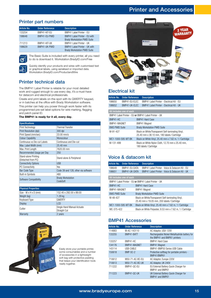### Printer and Accessories

#### Printer part numbers

| Article No. | <b>Order Reference</b> | <b>Description</b>                                                   |
|-------------|------------------------|----------------------------------------------------------------------|
| 133254      | BMP41-KIT-EU           | BMP41 Label Printer - EU                                             |
| 198648      | BMP41-EU-PWID          | BMP41 Label Printer - EU with<br><b>Brady Workstation PWID Suite</b> |
| 711213      | BMP41-KIT-UK           | BMP41 Label Printer - UK                                             |
| 198629      | BMP41-UK-PWID          | BMP41 Label Printer - UK with<br><b>Brady Workstation PWID Suite</b> |



The Basic Suite is included with every printer, all you need to do is download it. Workstation.BradyID.com/Free

Quickly identify your products and wires with customised text or graphical labels, using serialised or imported data. Workstation.BradyID.com/ProductandWire

### Printer technical data

The BMP41 Label Printer is reliable for your most detailed work and rugged enough to use every day, it's a must-have for datacom and electrical professionals.

Create and print labels on-the-spot with its QWERTY keypad, or in batches at the office with Brady Workstation software. This printer can help you power through work faster with its programmed pre-set label options for wire marking, flagging and patch panel ID.

#### The BMP41 is ready for it all, every day.

| <b>Specifications</b>                      |                                      |
|--------------------------------------------|--------------------------------------|
| Print Technology                           | <b>Thermal Transfer</b>              |
| Print Resolution (dpi)                     | 300 dpi                              |
| Print Speed (mm/sec)                       | $33.00$ mm/s                         |
| <b>Colour Capability</b>                   | Monocolour                           |
| Continuous vs Die-cut Labels               | Continuous and Die-cut               |
| Max. Label Width (mm)                      | 25.40 mm                             |
| Max. Print Length                          | 7620.00 mm                           |
| Recommended Usage per Day                  | 250                                  |
| Stand-alone Printing<br>(Detached from PC) | Stand-alone & Peripheral             |
| <b>Connectivity Options</b>                | <b>USB</b>                           |
| <b>PC Connectivity</b>                     | Yes                                  |
| <b>Bar Code Type</b>                       | Code 39 and 128, other via software  |
| <b>Built-in Symbols</b>                    | 480                                  |
| Software Compatibility                     | <b>Brady Workstation</b><br>CodeSoft |
|                                            |                                      |

| <b>Physical Properties</b> |                                            |
|----------------------------|--------------------------------------------|
| Size - W x H x D (mm)      | 152.40 x 292.00 x 89.00                    |
| Weight (kg)                | $1.29$ kg                                  |
| Keyboard Type              | <b>OWERTY</b>                              |
| <b>Display</b>             | LCD                                        |
| Cutter                     | Single Hand Manual Actuate<br>Straight Cut |
| Warranty                   | 2 years                                    |



Easily store your portable printer, some consumables and a number of accessories in a lightweight soft bag with protective padding that keeps your identification tools neatly together.



#### Electrical kit

| Article No.                                          | <b>Order Reference</b> | <b>Description</b>                                                                               |  |  |  |
|------------------------------------------------------|------------------------|--------------------------------------------------------------------------------------------------|--|--|--|
| 198650                                               | BMP41-EU-ELEC          | BMP41 Label Printer - Flectrical Kit - FU                                                        |  |  |  |
| 198652                                               | BMP41-UK-ELEC          | BMP41 Label Printer - Electrical Kit - UK                                                        |  |  |  |
| Kit includes one of each                             |                        |                                                                                                  |  |  |  |
| BMP41 Label Printer - EU or BMP41 Label Printer - UK |                        |                                                                                                  |  |  |  |
| BMP41-HC                                             |                        | <b>BMP41 Hard Case</b>                                                                           |  |  |  |
| BMP41-MAGNET                                         |                        | <b>BMP41 Magnet</b>                                                                              |  |  |  |
| <b>BWS PWID Suite</b>                                |                        | <b>Brady Workstation PWID Suite</b>                                                              |  |  |  |
| M-91-427                                             |                        | Black on White/Transparent Self-laminating Vinyl,<br>25.40 mm x 38.10 mm, 180 labels / Cartridge |  |  |  |
| MC1-1000-595-WT-BK                                   |                        | Black on White Vinyl, 25.40 mm x 7.62 m, 1 / Cartridge                                           |  |  |  |
| M-131-499                                            |                        | Black on White Nylon Cloth, 12.70 mm x 25.40 mm.<br>180 labels / Cartridge                       |  |  |  |

### Voice & datacom kit

| Article No.                                          | <b>Order Reference</b> |  | <b>Description</b>                                                                               |  |  |
|------------------------------------------------------|------------------------|--|--------------------------------------------------------------------------------------------------|--|--|
| 198649                                               | BMP41-EU-DATA          |  | BMP41 Label Printer - Voice & Datacom Kit - EU                                                   |  |  |
| 198651                                               | BMP41-UK-DATA          |  | BMP41 Label Printer - Voice & Datacom Kit - UK                                                   |  |  |
| Kit includes one of each                             |                        |  |                                                                                                  |  |  |
| BMP41 Label Printer - EU or BMP41 Label Printer - UK |                        |  |                                                                                                  |  |  |
| BMP41-HC                                             |                        |  | BMP41 Hard Case                                                                                  |  |  |
| BMP41-MAGNET                                         |                        |  | BMP41 Magnet                                                                                     |  |  |
| <b>BWS PWID Suite</b>                                |                        |  | <b>Brady Workstation PWID Suite</b>                                                              |  |  |
| M-48-427                                             |                        |  | Black on White/Transparent Self-laminating Vinyl,<br>25.40 mm x 19.05 mm, 200 labels / Cartridge |  |  |
|                                                      | MC1-1000-595-WT-BK     |  | Black on White Vinyl, 25.40 mm x 7.62 m, 1 / Cartridge                                           |  |  |
| MC-375-422                                           |                        |  | Black on White Polyester, 9.53 mm x 7.62 m, 1 / Cartridge                                        |  |  |

### BMP41 Accessories

| <b>Article No.</b> | <b>Order Reference</b> | <b>Description</b>                                                           |
|--------------------|------------------------|------------------------------------------------------------------------------|
| 114883             | M-AC-143110            | AC Adaptor, USA 120V                                                         |
| 133255             | BMP41-BATT             | Rechargeable Nickel Metalhydride battery for<br>the BMP41 and BMP61 printers |
| 133257             | BMP41-HC               | <b>BMP41 Hard Case</b>                                                       |
| 134176             | BMP41-MAGNET           | <b>BMP41 Magnet</b>                                                          |
| 143114             | USB-CABLE              | BMP41-BMP50 Series USB Cable                                                 |
| 150618             | BMP-SC-2               | Protective softbag for portable printers -<br>BMP41/BMP61                    |
| 710612             | M50-71-AC-BC-EU        | AC Adaptor, Europe 220V                                                      |
| 710613             | M50-71-AC-BC-UK        | AC Adaptor, UK 240V                                                          |
| 711222             | BMP41-QC-EU            | EU External Battery Quick Charger for<br>BMP41 and BMP61                     |
| 711223             | BMP41-QC-UK            | UK External Battery Quick Charger for<br>BMP41 and BMP61                     |